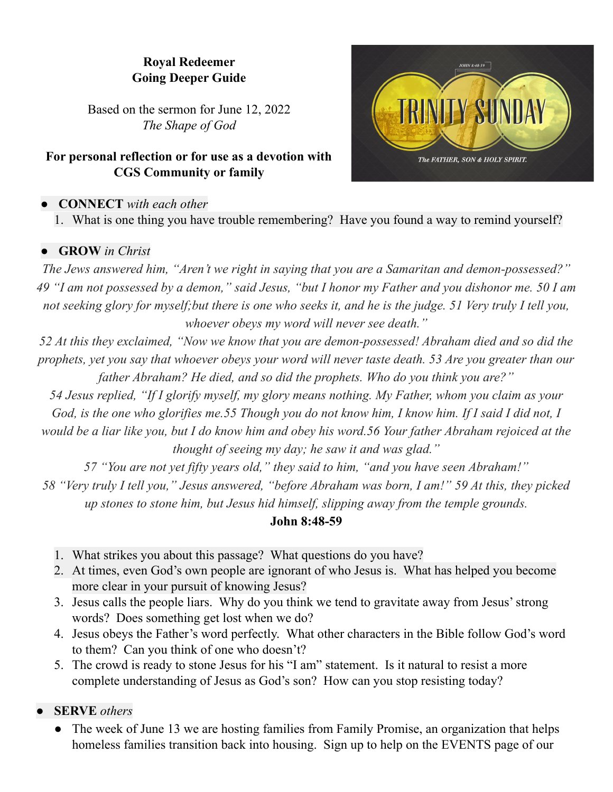# **Royal Redeemer Going Deeper Guide**

Based on the sermon for June 12, 2022 *The Shape of God*

## **For personal reflection or for use as a devotion with CGS Community or family**

## **● CONNECT** *with each other*

1. What is one thing you have trouble remembering? Have you found a way to remind yourself?

#### **● GROW** *in Christ*

*The Jews answered him, "Aren't we right in saying that you are a Samaritan and demon-possessed?"* 49 "I am not possessed by a demon," said Jesus, "but I honor my Father and you dishonor me. 50 I am not seeking glory for myself; but there is one who seeks it, and he is the judge. 51 Very truly I tell you, *whoever obeys my word will never see death."*

*52 At this they exclaimed, "Now we know that you are demon-possessed! Abraham died and so did the* prophets, yet you say that whoever obeys your word will never taste death. 53 Are you greater than our *father Abraham? He died, and so did the prophets. Who do you think you are?"*

*54 Jesus replied, "If I glorify myself, my glory means nothing. My Father, whom you claim as your* God, is the one who glorifies me.55 Though you do not know him, I know him. If I said I did not, I would be a liar like you, but I do know him and obey his word.56 Your father Abraham rejoiced at the *thought of seeing my day; he saw it and was glad."*

*57 "You are not yet fifty years old," they said to him, "and you have seen Abraham!"*

58 "Very truly I tell you," Jesus answered, "before Abraham was born, I am!" 59 At this, they picked *up stones to stone him, but Jesus hid himself, slipping away from the temple grounds.*

#### **John 8:48-59**

- 1. What strikes you about this passage? What questions do you have?
- 2. At times, even God's own people are ignorant of who Jesus is. What has helped you become more clear in your pursuit of knowing Jesus?
- 3. Jesus calls the people liars. Why do you think we tend to gravitate away from Jesus'strong words? Does something get lost when we do?
- 4. Jesus obeys the Father's word perfectly. What other characters in the Bible follow God's word to them? Can you think of one who doesn't?
- 5. The crowd is ready to stone Jesus for his "I am" statement. Is it natural to resist a more complete understanding of Jesus as God's son? How can you stop resisting today?

**● SERVE** *others*

The week of June 13 we are hosting families from Family Promise, an organization that helps homeless families transition back into housing. Sign up to help on the EVENTS page of our